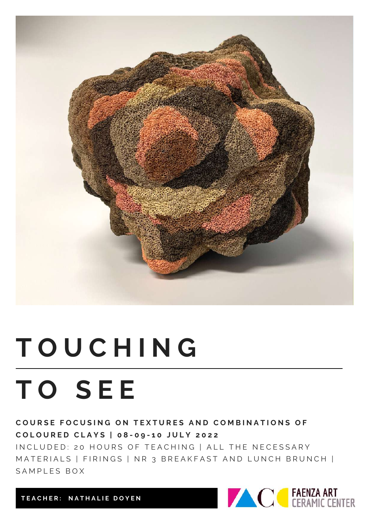

# **T O U C H I N G T O S E E**

COURSE FOCUSING ON TEXTURES AND COMBINATIONS OF COLOURED CLAYS | 08-09-10 JULY 2022

IN CLUDED: 20 HOURS OF TEACHING | ALL THE NECESSARY MATERIALS | FIRINGS | NR 3 BREAKFAST AND LUNCH BRUNCH | SAMPLES BOX



**T E A C H E R : N A T H A L I E D O Y E N**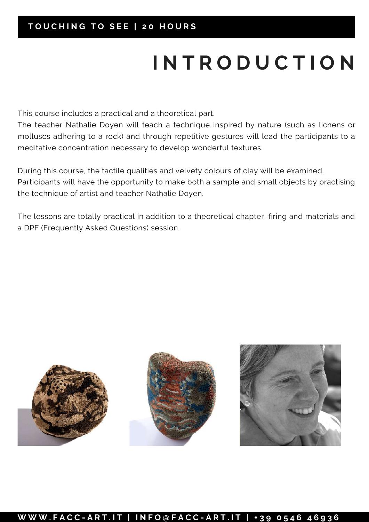### **T O U C H I N G T O S E E | 2 0 H O U R S**

## **I N T R O D U C T I O N**

This course includes a practical and a theoretical part.

The teacher Nathalie Doyen will teach a technique inspired by nature (such as lichens or molluscs adhering to a rock) and through repetitive gestures will lead the participants to a meditative concentration necessary to develop wonderful textures.

During this course, the tactile qualities and velvety colours of clay will be examined. Participants will have the opportunity to make both a sample and small objects by practising the technique of artist and teacher Nathalie Doyen.

The lessons are totally practical in addition to a theoretical chapter, firing and materials and a DPF (Frequently Asked Questions) session.



#### W W .FACC-ART.IT | INFO@FACC-ART.IT | +39 0546